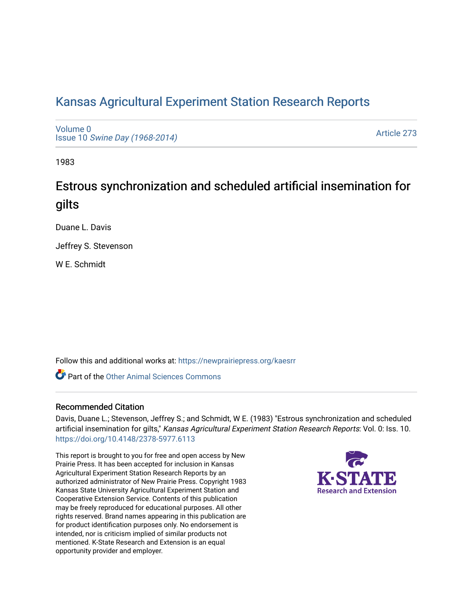# [Kansas Agricultural Experiment Station Research Reports](https://newprairiepress.org/kaesrr)

[Volume 0](https://newprairiepress.org/kaesrr/vol0) Issue 10 [Swine Day \(1968-2014\)](https://newprairiepress.org/kaesrr/vol0/iss10)

[Article 273](https://newprairiepress.org/kaesrr/vol0/iss10/273) 

1983

# Estrous synchronization and scheduled artificial insemination for gilts

Duane L. Davis

Jeffrey S. Stevenson

W E. Schmidt

Follow this and additional works at: [https://newprairiepress.org/kaesrr](https://newprairiepress.org/kaesrr?utm_source=newprairiepress.org%2Fkaesrr%2Fvol0%2Fiss10%2F273&utm_medium=PDF&utm_campaign=PDFCoverPages) 

**C** Part of the [Other Animal Sciences Commons](http://network.bepress.com/hgg/discipline/82?utm_source=newprairiepress.org%2Fkaesrr%2Fvol0%2Fiss10%2F273&utm_medium=PDF&utm_campaign=PDFCoverPages)

# Recommended Citation

Davis, Duane L.; Stevenson, Jeffrey S.; and Schmidt, W E. (1983) "Estrous synchronization and scheduled artificial insemination for gilts," Kansas Agricultural Experiment Station Research Reports: Vol. 0: Iss. 10. <https://doi.org/10.4148/2378-5977.6113>

This report is brought to you for free and open access by New Prairie Press. It has been accepted for inclusion in Kansas Agricultural Experiment Station Research Reports by an authorized administrator of New Prairie Press. Copyright 1983 Kansas State University Agricultural Experiment Station and Cooperative Extension Service. Contents of this publication may be freely reproduced for educational purposes. All other rights reserved. Brand names appearing in this publication are for product identification purposes only. No endorsement is intended, nor is criticism implied of similar products not mentioned. K-State Research and Extension is an equal opportunity provider and employer.

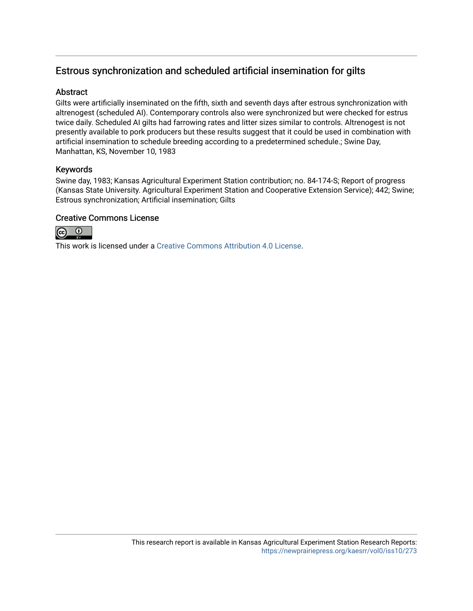# Estrous synchronization and scheduled artificial insemination for gilts

# **Abstract**

Gilts were artificially inseminated on the fifth, sixth and seventh days after estrous synchronization with altrenogest (scheduled AI). Contemporary controls also were synchronized but were checked for estrus twice daily. Scheduled AI gilts had farrowing rates and litter sizes similar to controls. Altrenogest is not presently available to pork producers but these results suggest that it could be used in combination with artificial insemination to schedule breeding according to a predetermined schedule.; Swine Day, Manhattan, KS, November 10, 1983

## Keywords

Swine day, 1983; Kansas Agricultural Experiment Station contribution; no. 84-174-S; Report of progress (Kansas State University. Agricultural Experiment Station and Cooperative Extension Service); 442; Swine; Estrous synchronization; Artificial insemination; Gilts

## Creative Commons License



This work is licensed under a [Creative Commons Attribution 4.0 License](https://creativecommons.org/licenses/by/4.0/).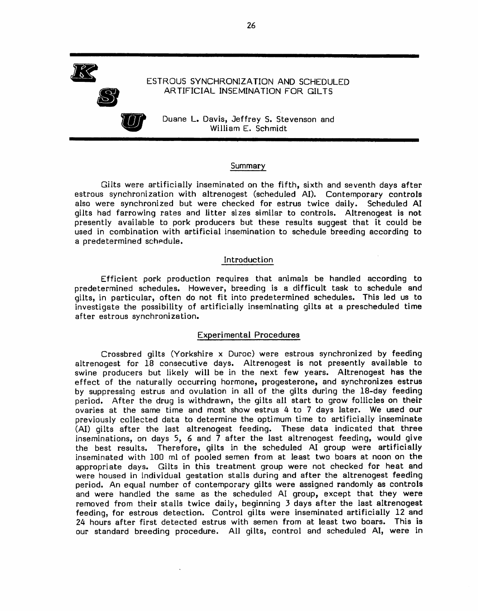ESTROUS SYNCHRONIZATION AND SCHEDULED ARTIFICIAL INSEMINATION FOR GILTS



Duane L. Davis, Jeffrey S. Stevenson and William E. Schmidt

#### Summary

Gilts were artificially inseminated on the fifth, sixth and seventh days after estrous synchronization with altrenogest (scheduled AI). Contemporary controls also were synchronized but were checked for estrus twice daily. Scheduled AI gilts had farrowing rates and litter sizes similar to controls. Altrenogest is not presently available to pork producers but these results suggest that it could be used in combination with artificial insemination to schedule breeding according to a predetermined schedule.

#### Introduction

Efficient pork production requires that animals be handled according to predetermined schedules. However, breeding is a difficult task to schedule and gilts, in particular, often do not fit into predetermined schedules. This led us to investigate the possibility of artificially inseminating gilts at a prescheduled time after estrous synchronization.

#### **Experimental Procedures**

Crossbred gilts (Yorkshire x Duroc) were estrous synchronized by feeding altrenogest for 18 consecutive days. Altrenogest is not presently available to swine producers but likely will be in the next few years. Altrenogest has the effect of the naturally occurring hormone, progesterone, and synchronizes estrus by suppressing estrus and ovulation in all of the gilts during the 18-day feeding period. After the drug is withdrawn, the gilts all start to grow follicles on their ovaries at the same time and most show estrus 4 to 7 days later. We used our previously collected data to determine the optimum time to artificially inseminate (AI) gilts after the last altrenogest feeding. These data indicated that three inseminations, on days 5, 6 and 7 after the last altrenogest feeding, would give the best results. Therefore, gilts in the scheduled AI group were artificially inseminated with 100 ml of pooled semen from at least two boars at noon on the appropriate days. Gilts in this treatment group were not checked for heat and were housed in individual gestation stalls during and after the altrenogest feeding period. An equal number of contemporary gilts were assigned randomly as controls and were handled the same as the scheduled AI group, except that they were removed from their stalls twice daily, beginning 3 days after the last altrenogest feeding, for estrous detection. Control gilts were inseminated artificially 12 and 24 hours after first detected estrus with semen from at least two boars. This is our standard breeding procedure. All gilts, control and scheduled AI, were in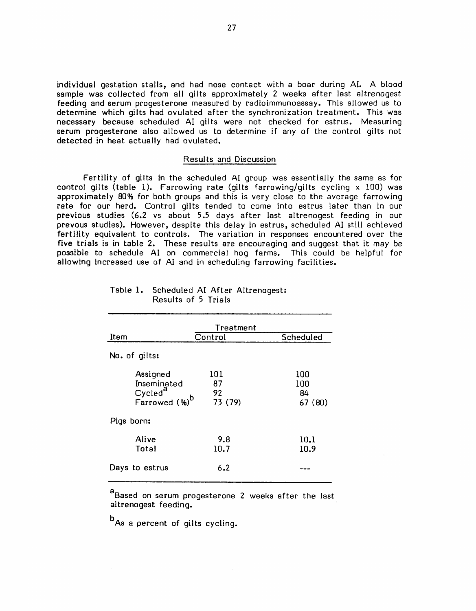individual gestation stalls, and had nose contact with a boar during AI. A blood sample was collected from all gilts approximately 2 weeks after last altrenogest feeding and serum progesterone measured by radioimmunoassay. This allowed us to determine which gilts had ovulated after the synchronization treatment. This was necessary because scheduled AI gilts were not checked for estrus. Measuring serum progesterone also allowed us to determine if any of the control gilts not detected in heat actually had ovulated.

#### Results and Discussion

Fertility of gilts in the scheduled AI group was essentially the same as for control gilts (table 1). Farrowing rate (gilts farrowing/gilts cycling x 100) was approximately 80% for both groups and this is very close to the average farrowing rate for our herd. Control gilts tended to come into estrus later than in our previous studies (6.2 vs about 5.5 days after last altrenogest feeding in our prevous studies). However, despite this delay in estrus, scheduled AI still achieved fertility equivalent to controls. The variation in responses encountered over the five trials is in table 2. These results are encouraging and suggest that it may be possible to schedule AI on commercial hog farms. This could be helpful for allowing increased use of AI and in scheduling farrowing facilities.

| Treatment                 |         |           |  |  |
|---------------------------|---------|-----------|--|--|
| Item                      | Control | Scheduled |  |  |
| No. of gilts:             |         |           |  |  |
| Assigned                  | 101     | 100       |  |  |
| Inseminated               | 87      | 100       |  |  |
| Cycled <sup>a</sup>       | 92      | 84        |  |  |
| Farrowed (%) <sup>b</sup> | 73 (79) | 67 (80)   |  |  |
| Pigs born:                |         |           |  |  |
| Alive                     | 9.8     | 10.1      |  |  |
| Total                     | 10.7    | 10.9      |  |  |
| Days to estrus            | 6.2     |           |  |  |

| Table 1. Scheduled AI After Altrenogest: |  |
|------------------------------------------|--|
| Results of 5 Trials                      |  |

a<br>Based on serum progesterone 2 weeks after the last altrenogest feeding.

<sup>b</sup>As a percent of gilts cycling.